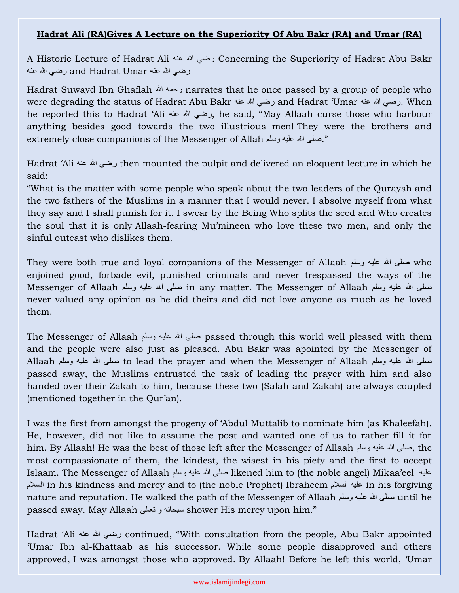## **Hadrat Ali (RA)Gives A Lecture on the Superiority Of Abu Bakr (RA) and Umar (RA)**

A Historic Lecture of Hadrat Ali عنه هللا رضي Concerning the Superiority of Hadrat Abu Bakr رضي الله عنه and Hadrat Umar رضي الله عنه

Hadrat Suwayd Ibn Ghaflah هللا رحمه narrates that he once passed by a group of people who were degrading the status of Hadrat Abu Bakr عنه هللا رضي and Hadrat 'Umar عنه هللا رضي. When he reported this to Hadrat 'Ali عنه هللا رضي, he said, "May Allaah curse those who harbour anything besides good towards the two illustrious men! They were the brothers and extremely close companions of the Messenger of Allah وسلم عليه هللا صلى."

Hadrat 'Ali عنه هللا رضي then mounted the pulpit and delivered an eloquent lecture in which he said:

"What is the matter with some people who speak about the two leaders of the Quraysh and the two fathers of the Muslims in a manner that I would never. I absolve myself from what they say and I shall punish for it. I swear by the Being Who splits the seed and Who creates the soul that it is only Allaah-fearing Mu'mineen who love these two men, and only the sinful outcast who dislikes them.

They were both true and loyal companions of the Messenger of Allaah وسلم عليه هللا صلى who enjoined good, forbade evil, punished criminals and never trespassed the ways of the صلى الله عليه وسلم in any matter. The Messenger of Allaah صلى الله عليه وسلم Messenger of Allaah never valued any opinion as he did theirs and did not love anyone as much as he loved them.

The Messenger of Allaah وسلم عليه هللا صلى passed through this world well pleased with them and the people were also just as pleased. Abu Bakr was apointed by the Messenger of صلَّى الله عليه وسلَّم to lead the prayer and when the Messenger of Allaah صلَّى الله عليه وسلَّم Allaah passed away, the Muslims entrusted the task of leading the prayer with him and also handed over their Zakah to him, because these two (Salah and Zakah) are always coupled (mentioned together in the Qur'an).

I was the first from amongst the progeny of 'Abdul Muttalib to nominate him (as Khaleefah). He, however, did not like to assume the post and wanted one of us to rather fill it for him. By Allaah! He was the best of those left after the Messenger of Allaah وسلم عليه هللا صلى, the most compassionate of them, the kindest, the wisest in his piety and the first to accept Islaam. The Messenger of Allaah وسلم عليه هللا صلى likened him to (the noble angel) Mikaa'eel عليه السالم in his kindness and mercy and to (the noble Prophet) Ibraheem السالم عليه in his forgiving nature and reputation. He walked the path of the Messenger of Allaah وسلم عليه هللا صلى until he passed away. May Allaah تعالى و سبحانه shower His mercy upon him."

Hadrat 'Ali عنه هللا رضي continued, "With consultation from the people, Abu Bakr appointed 'Umar Ibn al-Khattaab as his successor. While some people disapproved and others approved, I was amongst those who approved. By Allaah! Before he left this world, 'Umar